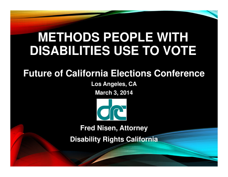# **METHODS PEOPLE WITH DISABILITIES USE TO VOTE**

### **Future of California Elections Conference**

**Los Angeles, CA**

**March 3, 2014**



**Fred Nisen, Attorney** 

**Disability Rights California**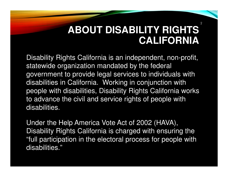### **ABOUT DISABILITY RIGHTS CALIFORNIA**

2

Disability Rights California is an independent, non-profit, statewide organization mandated by the federal government to provide legal services to individuals with disabilities in California. Working in conjunction with people with disabilities, Disability Rights California works to advance the civil and service rights of people with disabilities.

Under the Help America Vote Act of 2002 (HAVA), Disability Rights California is charged with ensuring the "full participation in the electoral process for people with disabilities."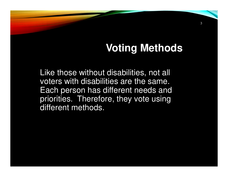## **Voting Methods**

3

Like those without disabilities, not all voters with disabilities are the same. Each person has different needs and priorities. Therefore, they vote using different methods.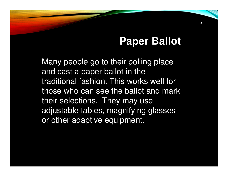### **Paper Ballot**

4

Many people go to their polling place and cast a paper ballot in the traditional fashion. This works well for those who can see the ballot and mark their selections. They may use adjustable tables, magnifying glasses or other adaptive equipment.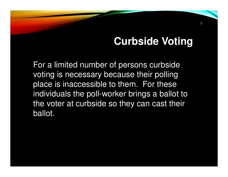### **Curbside Voting**

5

For a limited number of persons curbside voting is necessary because their polling place is inaccessible to them. For these individuals the poll-worker brings a ballot to the voter at curbside so they can cast their ballot.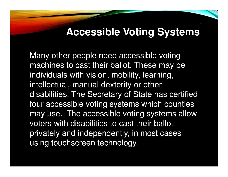### **Accessible Voting Systems**

6

Many other people need accessible voting machines to cast their ballot. These may be individuals with vision, mobility, learning, intellectual, manual dexterity or other disabilities. The Secretary of State has certified four accessible voting systems which counties may use. The accessible voting systems allow voters with disabilities to cast their ballot privately and independently, in most cases using touchscreen technology.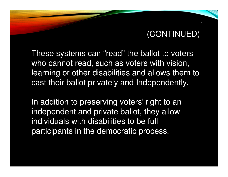7

These systems can "read" the ballot to voters who cannot read, such as voters with vision, learning or other disabilities and allows them to cast their ballot privately and Independently.

In addition to preserving voters' right to an independent and private ballot, they allow individuals with disabilities to be full participants in the democratic process.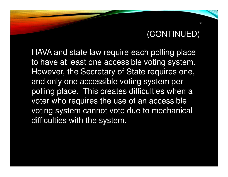HAVA and state law require each polling place to have at least one accessible voting system. However, the Secretary of State requires one, and only one accessible voting system per polling place. This creates difficulties when a voter who requires the use of an accessible voting system cannot vote due to mechanical difficulties with the system.

8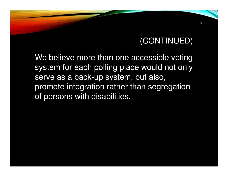9

We believe more than one accessible voting system for each polling place would not only serve as a back-up system, but also, promote integration rather than segregation of persons with disabilities.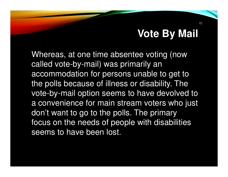### **Vote By Mail**

Whereas, at one time absentee voting (now called vote-by-mail) was primarily an accommodation for persons unable to get to the polls because of illness or disability. The vote-by-mail option seems to have devolved to a convenience for main stream voters who just don't want to go to the polls. The primary focus on the needs of people with disabilities seems to have been lost.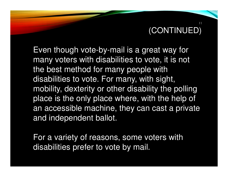Even though vote-by-mail is a great way for many voters with disabilities to vote, it is not the best method for many people with disabilities to vote. For many, with sight, mobility, dexterity or other disability the polling place is the only place where, with the help of an accessible machine, they can cast a private and independent ballot.

For a variety of reasons, some voters with disabilities prefer to vote by mail.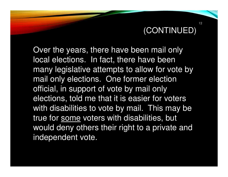Over the years, there have been mail only local elections. In fact, there have been many legislative attempts to allow for vote by mail only elections. One former election official, in support of vote by mail only elections, told me that it is easier for voters with disabilities to vote by mail. This may be true for some voters with disabilities, but would deny others their right to a private and independent vote.

12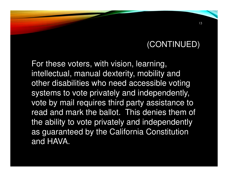For these voters, with vision, learning, intellectual, manual dexterity, mobility and other disabilities who need accessible voting systems to vote privately and independently, vote by mail requires third party assistance to read and mark the ballot. This denies them of the ability to vote privately and independently as guaranteed by the California Constitution and HAVA.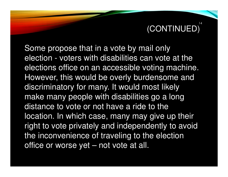Some propose that in a vote by mail only election - voters with disabilities can vote at the elections office on an accessible voting machine. However, this would be overly burdensome and discriminatory for many. It would most likely make many people with disabilities go a long distance to vote or not have a ride to the location. In which case, many may give up their right to vote privately and independently to avoid the inconvenience of traveling to the election office or worse yet – not vote at all.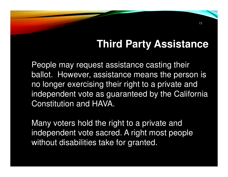## **Third Party Assistance**

People may request assistance casting their ballot. However, assistance means the person is no longer exercising their right to a private and independent vote as guaranteed by the California Constitution and HAVA.

Many voters hold the right to a private and independent vote sacred. A right most people without disabilities take for granted.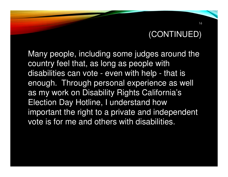Many people, including some judges around the country feel that, as long as people with disabilities can vote - even with help - that is enough. Through personal experience as well as my work on Disability Rights California's Election Day Hotline, I understand how important the right to a private and independent vote is for me and others with disabilities.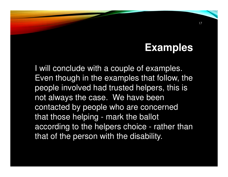### **Examples**

I will conclude with a couple of examples. Even though in the examples that follow, the people involved had trusted helpers, this is not always the case. We have been contacted by people who are concerned that those helping - mark the ballot according to the helpers choice - rather than that of the person with the disability.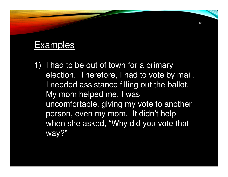#### Examples

1) I had to be out of town for a primary election. Therefore, I had to vote by mail. I needed assistance filling out the ballot. My mom helped me. I was uncomfortable, giving my vote to another person, even my mom. It didn't help when she asked, "Why did you vote that way?"